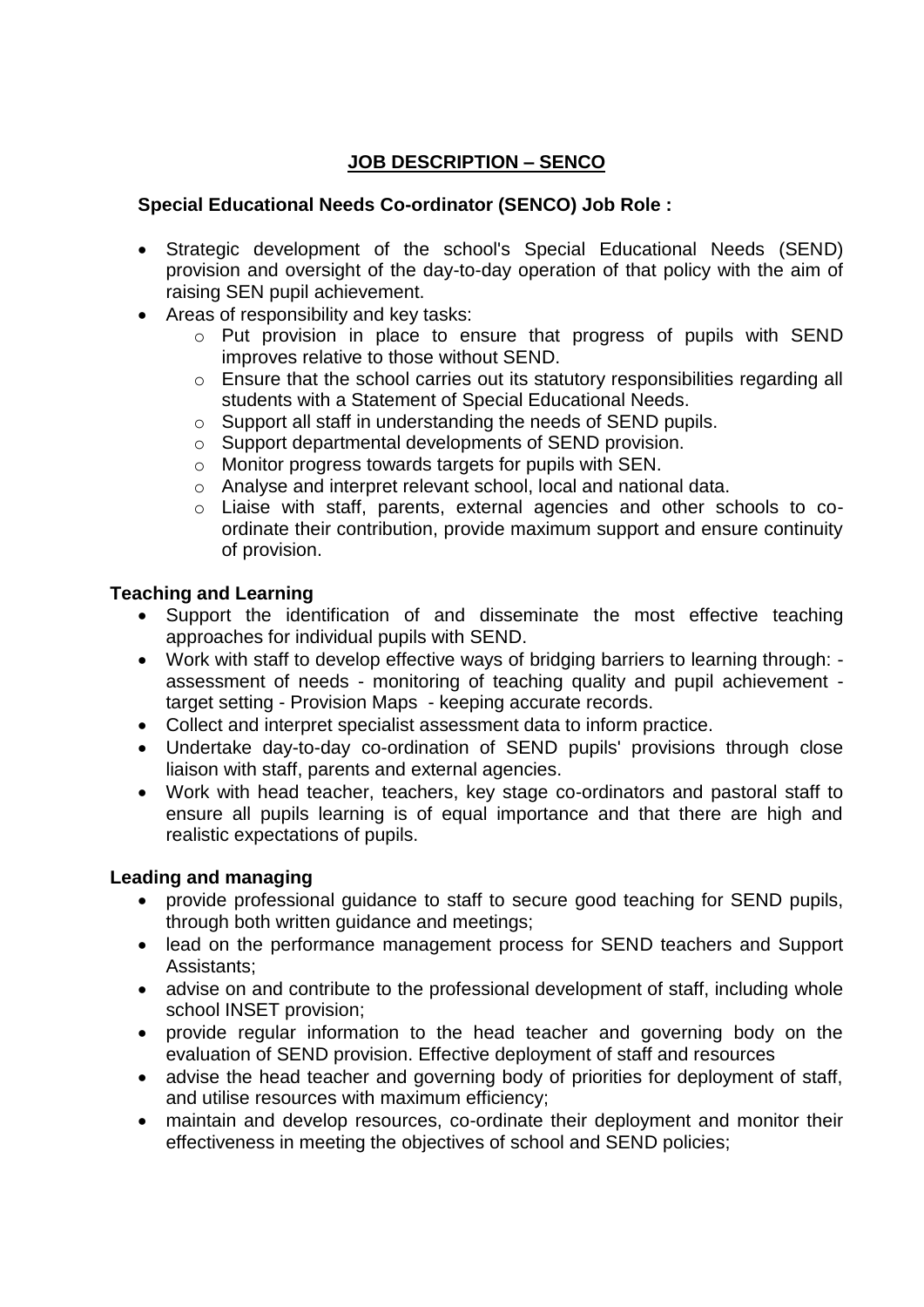# **JOB DESCRIPTION – SENCO**

### **Special Educational Needs Co-ordinator (SENCO) Job Role :**

- Strategic development of the school's Special Educational Needs (SEND) provision and oversight of the day-to-day operation of that policy with the aim of raising SEN pupil achievement.
- Areas of responsibility and key tasks:
	- o Put provision in place to ensure that progress of pupils with SEND improves relative to those without SEND.
	- o Ensure that the school carries out its statutory responsibilities regarding all students with a Statement of Special Educational Needs.
	- o Support all staff in understanding the needs of SEND pupils.
	- o Support departmental developments of SEND provision.
	- o Monitor progress towards targets for pupils with SEN.
	- o Analyse and interpret relevant school, local and national data.
	- o Liaise with staff, parents, external agencies and other schools to coordinate their contribution, provide maximum support and ensure continuity of provision.

#### **Teaching and Learning**

- Support the identification of and disseminate the most effective teaching approaches for individual pupils with SEND.
- Work with staff to develop effective ways of bridging barriers to learning through: assessment of needs - monitoring of teaching quality and pupil achievement target setting - Provision Maps - keeping accurate records.
- Collect and interpret specialist assessment data to inform practice.
- Undertake day-to-day co-ordination of SEND pupils' provisions through close liaison with staff, parents and external agencies.
- Work with head teacher, teachers, key stage co-ordinators and pastoral staff to ensure all pupils learning is of equal importance and that there are high and realistic expectations of pupils.

## **Leading and managing**

- provide professional guidance to staff to secure good teaching for SEND pupils, through both written guidance and meetings;
- lead on the performance management process for SEND teachers and Support Assistants;
- advise on and contribute to the professional development of staff, including whole school INSET provision;
- provide regular information to the head teacher and governing body on the evaluation of SEND provision. Effective deployment of staff and resources
- advise the head teacher and governing body of priorities for deployment of staff, and utilise resources with maximum efficiency;
- maintain and develop resources, co-ordinate their deployment and monitor their effectiveness in meeting the objectives of school and SEND policies;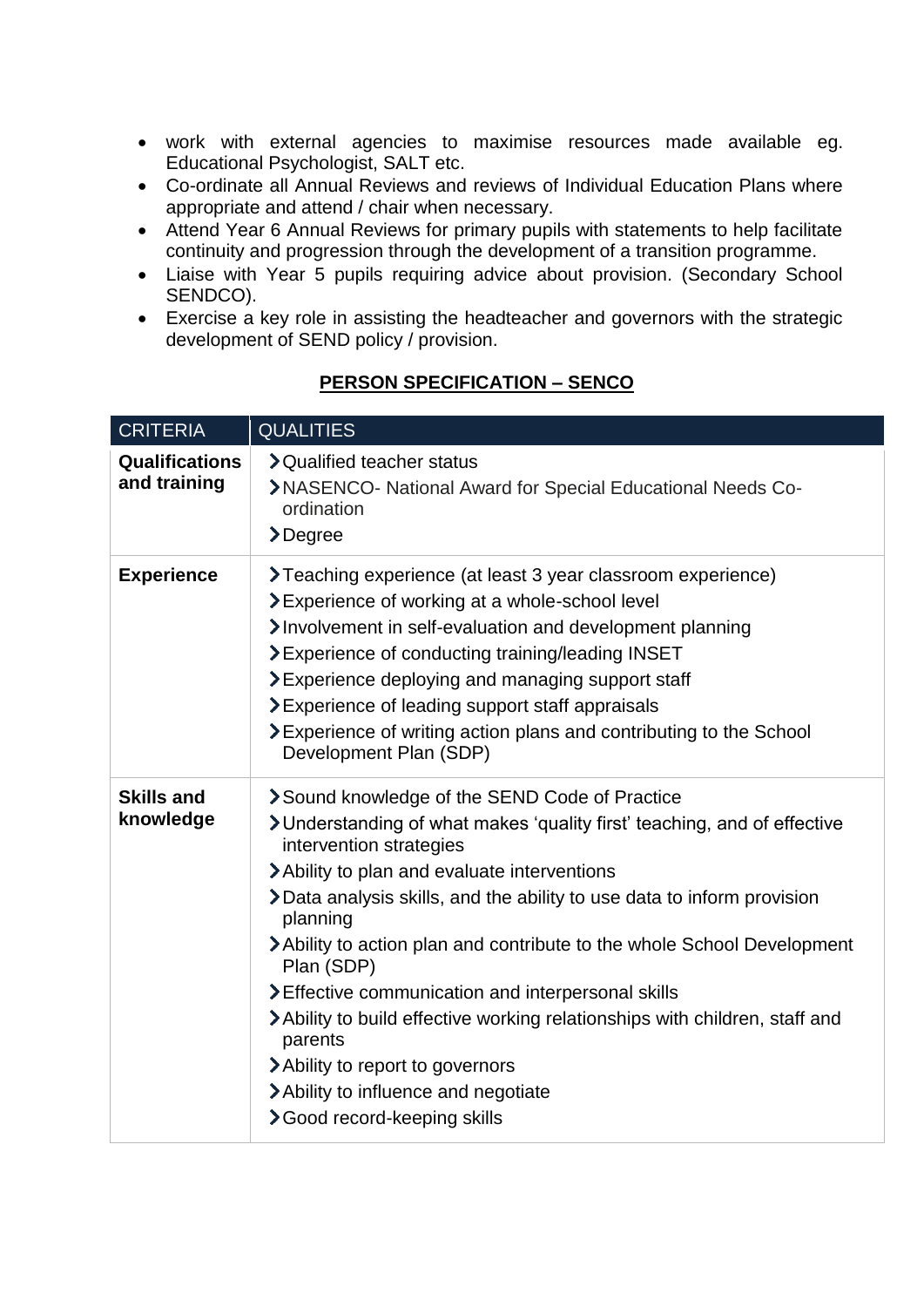- work with external agencies to maximise resources made available eg. Educational Psychologist, SALT etc.
- Co-ordinate all Annual Reviews and reviews of Individual Education Plans where appropriate and attend / chair when necessary.
- Attend Year 6 Annual Reviews for primary pupils with statements to help facilitate continuity and progression through the development of a transition programme.
- Liaise with Year 5 pupils requiring advice about provision. (Secondary School SENDCO).
- Exercise a key role in assisting the headteacher and governors with the strategic development of SEND policy / provision.

| <b>CRITERIA</b>                       | <b>QUALITIES</b>                                                                                                                                                                                                                                                                                                                                                                                                                                                                                                                                                                                                                                      |
|---------------------------------------|-------------------------------------------------------------------------------------------------------------------------------------------------------------------------------------------------------------------------------------------------------------------------------------------------------------------------------------------------------------------------------------------------------------------------------------------------------------------------------------------------------------------------------------------------------------------------------------------------------------------------------------------------------|
| <b>Qualifications</b><br>and training | > Qualified teacher status<br>>NASENCO- National Award for Special Educational Needs Co-<br>ordination<br>$\sum_{ }^{ }$ Degree                                                                                                                                                                                                                                                                                                                                                                                                                                                                                                                       |
| <b>Experience</b>                     | <b>&gt;Teaching experience (at least 3 year classroom experience)</b><br><b>&gt;</b> Experience of working at a whole-school level<br>Involvement in self-evaluation and development planning<br>>Experience of conducting training/leading INSET<br>$\geq$ Experience deploying and managing support staff<br><b>&gt;</b> Experience of leading support staff appraisals<br>$\blacktriangleright$ Experience of writing action plans and contributing to the School<br>Development Plan (SDP)                                                                                                                                                        |
| <b>Skills and</b><br>knowledge        | Sound knowledge of the SEND Code of Practice<br>>Understanding of what makes 'quality first' teaching, and of effective<br>intervention strategies<br>> Ability to plan and evaluate interventions<br>>Data analysis skills, and the ability to use data to inform provision<br>planning<br>>Ability to action plan and contribute to the whole School Development<br>Plan (SDP)<br>> Effective communication and interpersonal skills<br>>Ability to build effective working relationships with children, staff and<br>parents<br>> Ability to report to governors<br>> Ability to influence and negotiate<br><b>&gt;</b> Good record-keeping skills |

# **PERSON SPECIFICATION – SENCO**